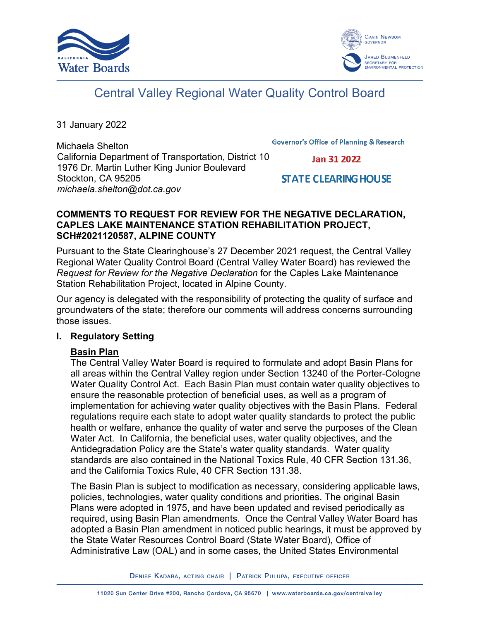



# Central Valley Regional Water Quality Control Board

31 January 2022

Michaela Shelton California Department of Transportation, District 10 1976 Dr. Martin Luther King Junior Boulevard Stockton, CA 95205 *michaela.shelton@dot.ca.gov*

**Governor's Office of Planning & Research** 

Jan 31 2022

## **STATE CLEARING HOUSE**

## **COMMENTS TO REQUEST FOR REVIEW FOR THE NEGATIVE DECLARATION, CAPLES LAKE MAINTENANCE STATION REHABILITATION PROJECT, SCH#2021120587, ALPINE COUNTY**

Pursuant to the State Clearinghouse's 27 December 2021 request, the Central Valley Regional Water Quality Control Board (Central Valley Water Board) has reviewed the *Request for Review for the Negative Declaration* for the Caples Lake Maintenance Station Rehabilitation Project, located in Alpine County.

Our agency is delegated with the responsibility of protecting the quality of surface and groundwaters of the state; therefore our comments will address concerns surrounding those issues.

#### **I. Regulatory Setting**

## **Basin Plan**

The Central Valley Water Board is required to formulate and adopt Basin Plans for all areas within the Central Valley region under Section 13240 of the Porter-Cologne Water Quality Control Act. Each Basin Plan must contain water quality objectives to ensure the reasonable protection of beneficial uses, as well as a program of implementation for achieving water quality objectives with the Basin Plans. Federal regulations require each state to adopt water quality standards to protect the public health or welfare, enhance the quality of water and serve the purposes of the Clean Water Act. In California, the beneficial uses, water quality objectives, and the Antidegradation Policy are the State's water quality standards. Water quality standards are also contained in the National Toxics Rule, 40 CFR Section 131.36, and the California Toxics Rule, 40 CFR Section 131.38.

The Basin Plan is subject to modification as necessary, considering applicable laws, policies, technologies, water quality conditions and priorities. The original Basin Plans were adopted in 1975, and have been updated and revised periodically as required, using Basin Plan amendments. Once the Central Valley Water Board has adopted a Basin Plan amendment in noticed public hearings, it must be approved by the State Water Resources Control Board (State Water Board), Office of Administrative Law (OAL) and in some cases, the United States Environmental

DENISE KADARA, ACTING CHAIR | PATRICK PULUPA, EXECUTIVE OFFICER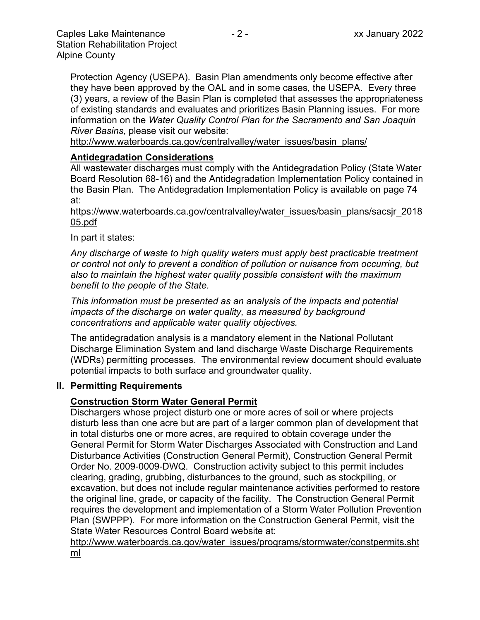Protection Agency (USEPA). Basin Plan amendments only become effective after they have been approved by the OAL and in some cases, the USEPA. Every three (3) years, a review of the Basin Plan is completed that assesses the appropriateness of existing standards and evaluates and prioritizes Basin Planning issues. For more information on the *Water Quality Control Plan for the Sacramento and San Joaquin River Basins*, please visit our website:

[http://www.waterboards.ca.gov/centralvalley/water\\_issues/basin\\_plans/](http://www.waterboards.ca.gov/centralvalley/water_issues/basin_plans/)

### **Antidegradation Considerations**

All wastewater discharges must comply with the Antidegradation Policy (State Water Board Resolution 68-16) and the Antidegradation Implementation Policy contained in the Basin Plan. The Antidegradation Implementation Policy is available on page 74 at:

https://www.waterboards.ca.gov/centralvalley/water\_issues/basin\_plans/sacsjr\_2018 05.pdf

In part it states:

*Any discharge of waste to high quality waters must apply best practicable treatment or control not only to prevent a condition of pollution or nuisance from occurring, but also to maintain the highest water quality possible consistent with the maximum benefit to the people of the State.*

*This information must be presented as an analysis of the impacts and potential impacts of the discharge on water quality, as measured by background concentrations and applicable water quality objectives.*

The antidegradation analysis is a mandatory element in the National Pollutant Discharge Elimination System and land discharge Waste Discharge Requirements (WDRs) permitting processes. The environmental review document should evaluate potential impacts to both surface and groundwater quality.

#### **II. Permitting Requirements**

#### **Construction Storm Water General Permit**

Dischargers whose project disturb one or more acres of soil or where projects disturb less than one acre but are part of a larger common plan of development that in total disturbs one or more acres, are required to obtain coverage under the General Permit for Storm Water Discharges Associated with Construction and Land Disturbance Activities (Construction General Permit), Construction General Permit Order No. 2009-0009-DWQ. Construction activity subject to this permit includes clearing, grading, grubbing, disturbances to the ground, such as stockpiling, or excavation, but does not include regular maintenance activities performed to restore the original line, grade, or capacity of the facility. The Construction General Permit requires the development and implementation of a Storm Water Pollution Prevention Plan (SWPPP). For more information on the Construction General Permit, visit the State Water Resources Control Board website at:

[http://www.waterboards.ca.gov/water\\_issues/programs/stormwater/constpermits.sht](http://www.waterboards.ca.gov/water_issues/programs/stormwater/constpermits.shtml) [ml](http://www.waterboards.ca.gov/water_issues/programs/stormwater/constpermits.shtml)